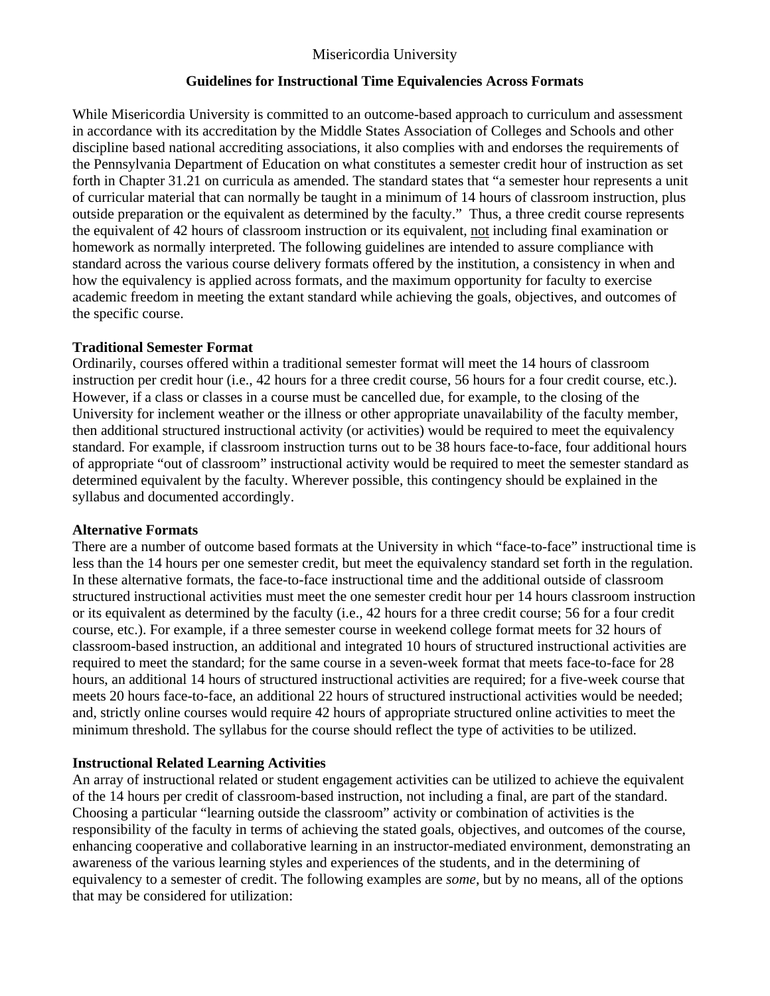# Misericordia University

#### **Guidelines for Instructional Time Equivalencies Across Formats**

While Misericordia University is committed to an outcome-based approach to curriculum and assessment in accordance with its accreditation by the Middle States Association of Colleges and Schools and other discipline based national accrediting associations, it also complies with and endorses the requirements of the Pennsylvania Department of Education on what constitutes a semester credit hour of instruction as set forth in Chapter 31.21 on curricula as amended. The standard states that "a semester hour represents a unit of curricular material that can normally be taught in a minimum of 14 hours of classroom instruction, plus outside preparation or the equivalent as determined by the faculty." Thus, a three credit course represents the equivalent of 42 hours of classroom instruction or its equivalent, not including final examination or homework as normally interpreted. The following guidelines are intended to assure compliance with standard across the various course delivery formats offered by the institution, a consistency in when and how the equivalency is applied across formats, and the maximum opportunity for faculty to exercise academic freedom in meeting the extant standard while achieving the goals, objectives, and outcomes of the specific course.

## **Traditional Semester Format**

Ordinarily, courses offered within a traditional semester format will meet the 14 hours of classroom instruction per credit hour (i.e., 42 hours for a three credit course, 56 hours for a four credit course, etc.). However, if a class or classes in a course must be cancelled due, for example, to the closing of the University for inclement weather or the illness or other appropriate unavailability of the faculty member, then additional structured instructional activity (or activities) would be required to meet the equivalency standard. For example, if classroom instruction turns out to be 38 hours face-to-face, four additional hours of appropriate "out of classroom" instructional activity would be required to meet the semester standard as determined equivalent by the faculty. Wherever possible, this contingency should be explained in the syllabus and documented accordingly.

#### **Alternative Formats**

There are a number of outcome based formats at the University in which "face-to-face" instructional time is less than the 14 hours per one semester credit, but meet the equivalency standard set forth in the regulation. In these alternative formats, the face-to-face instructional time and the additional outside of classroom structured instructional activities must meet the one semester credit hour per 14 hours classroom instruction or its equivalent as determined by the faculty (i.e., 42 hours for a three credit course; 56 for a four credit course, etc.). For example, if a three semester course in weekend college format meets for 32 hours of classroom-based instruction, an additional and integrated 10 hours of structured instructional activities are required to meet the standard; for the same course in a seven-week format that meets face-to-face for 28 hours, an additional 14 hours of structured instructional activities are required; for a five-week course that meets 20 hours face-to-face, an additional 22 hours of structured instructional activities would be needed; and, strictly online courses would require 42 hours of appropriate structured online activities to meet the minimum threshold. The syllabus for the course should reflect the type of activities to be utilized.

## **Instructional Related Learning Activities**

An array of instructional related or student engagement activities can be utilized to achieve the equivalent of the 14 hours per credit of classroom-based instruction, not including a final, are part of the standard. Choosing a particular "learning outside the classroom" activity or combination of activities is the responsibility of the faculty in terms of achieving the stated goals, objectives, and outcomes of the course, enhancing cooperative and collaborative learning in an instructor-mediated environment, demonstrating an awareness of the various learning styles and experiences of the students, and in the determining of equivalency to a semester of credit. The following examples are *some*, but by no means, all of the options that may be considered for utilization: